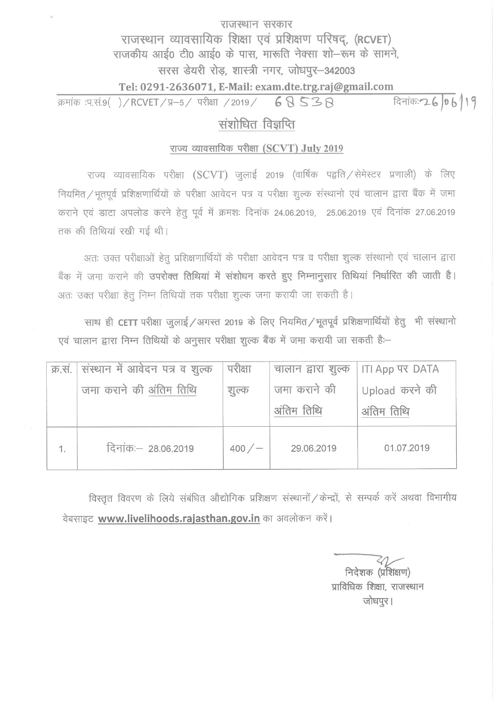## राजस्थान सरकार राजस्थान व्यावसायिक शिक्षा एवं प्रशिक्षण परिषद, (RCVET) राजकीय आई0 टी0 आई0 के पास, मारूति नेक्सा शो-रूम के सामने, सरस डेयरी रोड, शास्त्री नगर, जोधपुर-342003

## Tel: 0291-2636071, E-Mail: exam.dte.trg.raj@gmail.com

दिनांक: 26 06/19 क्रमांक :प.सं.9( )/RCVET/प्र-5/ परीक्षा /2019/ 68 538

## संशोधित विज्ञप्ति

## राज्य व्यावसायिक परीक्षा (SCVT) July 2019

राज्य व्यावसायिक परीक्षा (SCVT) जुलाई 2019 (वार्षिक पद्वति / सेमेस्टर प्रणाली) के लिए नियमित/भूतपूर्व प्रशिक्षणार्थियों के परीक्षा आवेदन पत्र व परीक्षा शुल्क संस्थानो एवं चालान द्वारा बैंक में जमा कराने एवं डाटा अपलोड करने हेतू पूर्व में क्रमशः दिनांक 24.06.2019, 25.06.2019 एवं दिनांक 27.06.2019 तक की तिथियां रखी गई थी।

अतः उक्त परीक्षाओं हेतु प्रशिक्षणार्थियों के परीक्षा आवेदन पत्र व परीक्षा शुल्क संस्थानो एवं चालान द्वारा बैंक में जमा कराने की उपरोक्त तिथियां में संशोधन करते हुए निम्नानुसार तिथियां निर्धारित की जाती है। अतः उक्त परीक्षा हेतू निम्न तिथियों तक परीक्षा शूल्क जमा करायी जा सकती है।

साथ ही CETT परीक्षा जुलाई / अगस्त 2019 के लिए नियमित / भूतपूर्व प्रशिक्षणार्थियों हेतु भी संस्थानो एवं चालान द्वारा निम्न तिथियों के अनुसार परीक्षा शुल्क बैंक में जमा करायी जा सकती है:-

|    | क्र.सं. संस्थान में आवेदन पत्र व शुल्क | परीक्षा | चालान द्वारा शुल्क   ITI App पर DATA |                |
|----|----------------------------------------|---------|--------------------------------------|----------------|
|    | जमा कराने की अंतिम तिथि                | शुल्क   | जमा कराने की                         | Upload करने की |
|    |                                        |         | अंतिम तिथि                           | अंतिम तिथि     |
| 1. | दिनांकः - 28.06.2019                   | 400/    | 29.06.2019                           | 01.07.2019     |

विस्तृत विवरण के लिये संबंधित औद्योगिक प्रशिक्षण संस्थानों / केन्द्रों, से सम्पर्क करें अथवा विभागीय वेबसाइट www.livelihoods.rajasthan.gov.in का अवलोकन करें।

निदेशक (प्रशिक्षण) प्राविधिक शिक्षा, राजस्थान जोधपुर।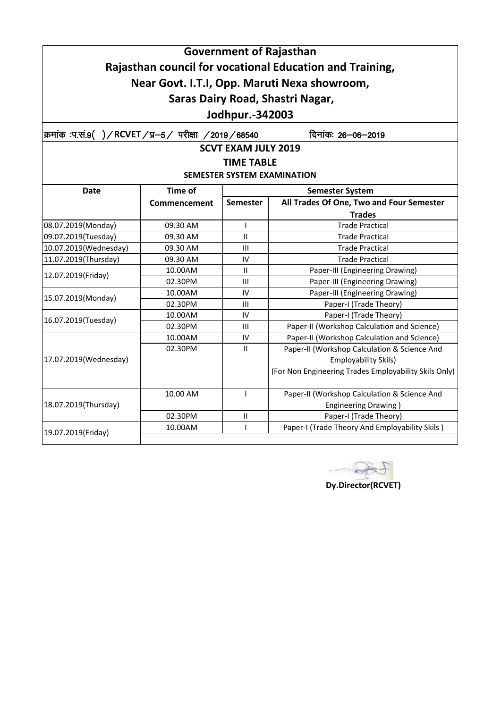|                                                    |                                          |                            | <b>Government of Rajasthan</b>                           |  |
|----------------------------------------------------|------------------------------------------|----------------------------|----------------------------------------------------------|--|
|                                                    |                                          |                            | Rajasthan council for vocational Education and Training, |  |
|                                                    |                                          |                            | Near Govt. I.T.I, Opp. Maruti Nexa showroom,             |  |
|                                                    |                                          |                            |                                                          |  |
|                                                    |                                          |                            | Saras Dairy Road, Shastri Nagar,                         |  |
|                                                    |                                          | Jodhpur.-342003            |                                                          |  |
| क्रमांक :प.सं.9()/RCVET/प्र—5/ परीक्षा /2019/68540 |                                          |                            | दिनांकः 26–06–2019                                       |  |
|                                                    |                                          | <b>SCVT EXAM JULY 2019</b> |                                                          |  |
|                                                    |                                          | <b>TIME TABLE</b>          |                                                          |  |
|                                                    |                                          |                            | <b>SEMESTER SYSTEM EXAMINATION</b>                       |  |
| <b>Date</b>                                        | <b>Time of</b><br><b>Semester System</b> |                            |                                                          |  |
|                                                    | Commencement                             | <b>Semester</b>            | All Trades Of One, Two and Four Semester                 |  |
|                                                    |                                          |                            | <b>Trades</b>                                            |  |
| 08.07.2019(Monday)                                 | 09.30 AM                                 | $\mathsf{I}$               | <b>Trade Practical</b>                                   |  |
| 09.07.2019(Tuesday)                                | 09.30 AM                                 | $\mathbf{H}$               | <b>Trade Practical</b>                                   |  |
| 10.07.2019(Wednesday)                              | 09.30 AM                                 | Ш                          | <b>Trade Practical</b>                                   |  |
| 11.07.2019(Thursday)                               | 09.30 AM                                 | IV                         | <b>Trade Practical</b>                                   |  |
| 12.07.2019(Friday)                                 | 10.00AM                                  | $\mathbf{I}$               | Paper-III (Engineering Drawing)                          |  |
|                                                    | 02.30PM                                  | Ш                          | Paper-III (Engineering Drawing)                          |  |
| 15.07.2019(Monday)                                 | 10.00AM                                  | IV                         | Paper-III (Engineering Drawing)                          |  |
|                                                    | 02.30PM                                  | Ш                          | Paper-I (Trade Theory)                                   |  |
| 16.07.2019(Tuesday)                                | 10.00AM                                  | IV                         | Paper-I (Trade Theory)                                   |  |
|                                                    | 02.30PM                                  | Ш                          | Paper-II (Workshop Calculation and Science)              |  |
|                                                    | 10.00AM                                  | IV                         | Paper-II (Workshop Calculation and Science)              |  |
|                                                    | 02.30PM                                  | $\mathbf{H}$               | Paper-II (Workshop Calculation & Science And             |  |
| 17.07.2019(Wednesday)                              |                                          |                            | <b>Employability Skils)</b>                              |  |
|                                                    |                                          |                            | (For Non Engineering Trades Employability Skils Only)    |  |
|                                                    | 10.00 AM                                 | $\mathbf{I}$               | Paper-II (Workshop Calculation & Science And             |  |
| 18.07.2019(Thursday)                               |                                          |                            | <b>Engineering Drawing)</b>                              |  |
|                                                    | 02.30PM                                  | $\ensuremath{\mathsf{II}}$ | Paper-I (Trade Theory)                                   |  |
| 19.07.2019(Friday)                                 | 10.00AM                                  |                            | Paper-I (Trade Theory And Employability Skils)           |  |
|                                                    |                                          |                            |                                                          |  |

PA  $\sim$ 

**Dy.Director(RCVET)**